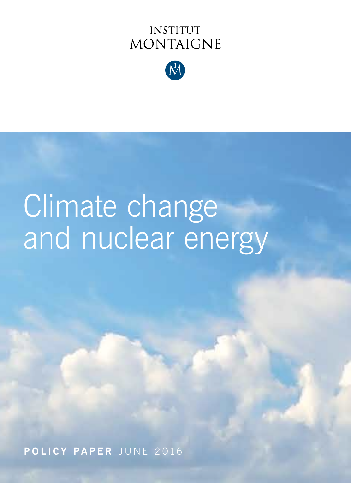## **INSTITUT MONTAIGNE**



# Climate change and nuclear energy

**POLICY PAPER** JUNE 2016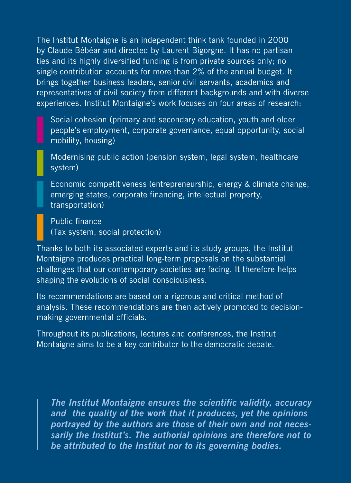The Institut Montaigne is an independent think tank founded in 2000 by Claude Bébéar and directed by Laurent Bigorgne. It has no partisan ties and its highly diversified funding is from private sources only; no single contribution accounts for more than 2% of the annual budget. It brings together business leaders, senior civil servants, academics and representatives of civil society from different backgrounds and with diverse experiences. Institut Montaigne's work focuses on four areas of research:

Social cohesion (primary and secondary education, youth and older people's employment, corporate governance, equal opportunity, social mobility, housing)

Modernising public action (pension system, legal system, healthcare system)

Economic competitiveness (entrepreneurship, energy & climate change, emerging states, corporate financing, intellectual property, transportation)

Public finance (Tax system, social protection)

Thanks to both its associated experts and its study groups, the Institut Montaigne produces practical long-term proposals on the substantial challenges that our contemporary societies are facing. It therefore helps shaping the evolutions of social consciousness.

Its recommendations are based on a rigorous and critical method of analysis. These recommendations are then actively promoted to decisionmaking governmental officials.

Throughout its publications, lectures and conferences, the Institut Montaigne aims to be a key contributor to the democratic debate.

*The Institut Montaigne ensures the scientific validity, accuracy and the quality of the work that it produces, yet the opinions portrayed by the authors are those of their own and not necessarily the Institut's. The authorial opinions are therefore not to be attributed to the Institut nor to its governing bodies.*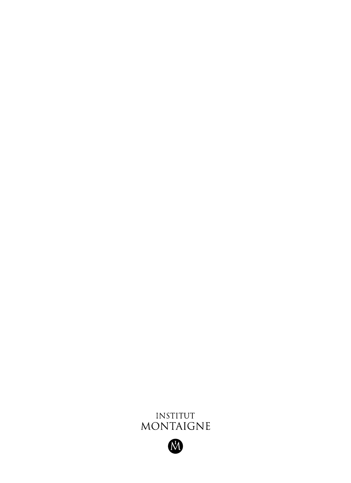

M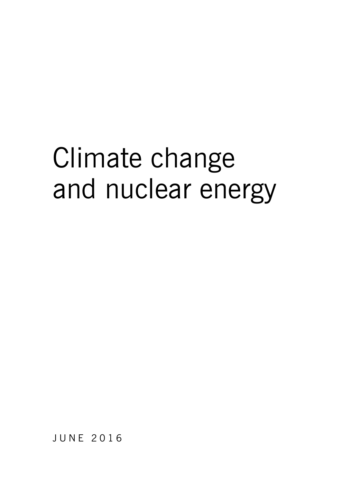## Climate change and nuclear energy

JUNE 2016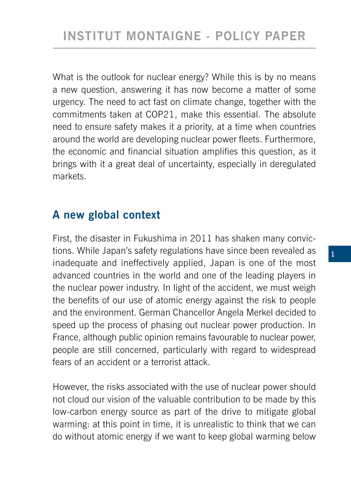What is the outlook for nuclear energy? While this is by no means a new question, answering it has now become a matter of some urgency. The need to act fast on climate change, together with the commitments taken at COP21, make this essential. The absolute need to ensure safety makes it a priority, at a time when countries around the world are developing nuclear power fleets. Furthermore, the economic and financial situation amplifies this question, as it brings with it a great deal of uncertainty, especially in deregulated markets.

#### **A new global context**

First, the disaster in Fukushima in 2011 has shaken many convictions. While Japan's safety regulations have since been revealed as inadequate and ineffectively applied, Japan is one of the most advanced countries in the world and one of the leading players in the nuclear power industry. In light of the accident, we must weigh the benefits of our use of atomic energy against the risk to people and the environment. German Chancellor Angela Merkel decided to speed up the process of phasing out nuclear power production. In France, although public opinion remains favourable to nuclear power, people are still concerned, particularly with regard to widespread fears of an accident or a terrorist attack.

However, the risks associated with the use of nuclear power should not cloud our vision of the valuable contribution to be made by this low-carbon energy source as part of the drive to mitigate global warming: at this point in time, it is unrealistic to think that we can do without atomic energy if we want to keep global warming below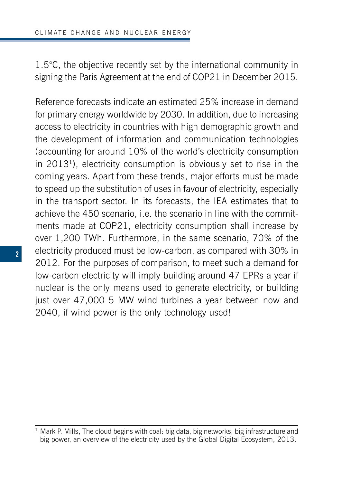1.5°C, the objective recently set by the international community in signing the Paris Agreement at the end of COP21 in December 2015.

Reference forecasts indicate an estimated 25% increase in demand for primary energy worldwide by 2030. In addition, due to increasing access to electricity in countries with high demographic growth and the development of information and communication technologies (accounting for around 10% of the world's electricity consumption in 20131), electricity consumption is obviously set to rise in the coming years. Apart from these trends, major efforts must be made to speed up the substitution of uses in favour of electricity, especially in the transport sector. In its forecasts, the IEA estimates that to achieve the 450 scenario, i.e. the scenario in line with the commitments made at COP21, electricity consumption shall increase by over 1,200 TWh. Furthermore, in the same scenario, 70% of the electricity produced must be low-carbon, as compared with 30% in 2012. For the purposes of comparison, to meet such a demand for low-carbon electricity will imply building around 47 EPRs a year if nuclear is the only means used to generate electricity, or building just over 47,000 5 MW wind turbines a year between now and 2040, if wind power is the only technology used!

 $1$  Mark P. Mills, The cloud begins with coal: big data, big networks, big infrastructure and big power, an overview of the electricity used by the Global Digital Ecosystem, 2013.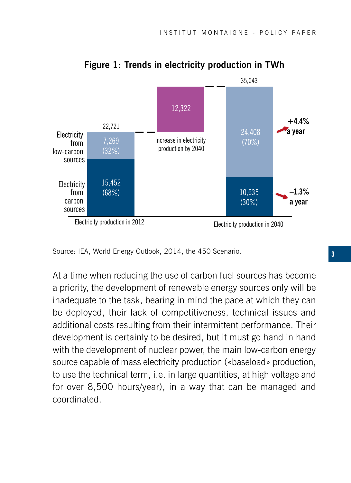

**Figure 1: Trends in electricity production in TWh**

At a time when reducing the use of carbon fuel sources has become a priority, the development of renewable energy sources only will be inadequate to the task, bearing in mind the pace at which they can be deployed, their lack of competitiveness, technical issues and additional costs resulting from their intermittent performance. Their development is certainly to be desired, but it must go hand in hand with the development of nuclear power, the main low-carbon energy source capable of mass electricity production («baseload» production, to use the technical term, i.e. in large quantities, at high voltage and for over 8,500 hours/year), in a way that can be managed and coordinated.

Source: IEA, World Energy Outlook, 2014, the 450 Scenario.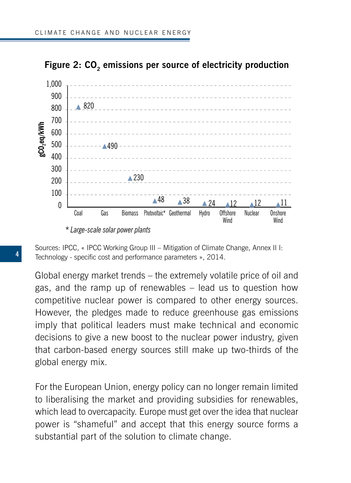



Sources: IPCC, « IPCC Working Group III - Mitigation of Climate Change, Annex II I: Technology - specific cost and performance parameters », 2014.

Global energy market trends – the extremely volatile price of oil and gas, and the ramp up of renewables – lead us to question how competitive nuclear power is compared to other energy sources. However, the pledges made to reduce greenhouse gas emissions imply that political leaders must make technical and economic decisions to give a new boost to the nuclear power industry, given that carbon-based energy sources still make up two-thirds of the global energy mix.

For the European Union, energy policy can no longer remain limited to liberalising the market and providing subsidies for renewables, which lead to overcapacity. Europe must get over the idea that nuclear power is "shameful" and accept that this energy source forms a substantial part of the solution to climate change.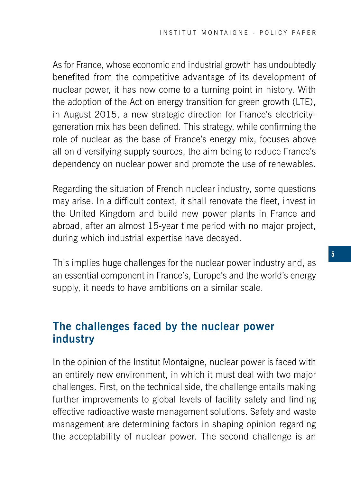As for France, whose economic and industrial growth has undoubtedly benefited from the competitive advantage of its development of nuclear power, it has now come to a turning point in history. With the adoption of the Act on energy transition for green growth (LTE), in August 2015, a new strategic direction for France's electricitygeneration mix has been defined. This strategy, while confirming the role of nuclear as the base of France's energy mix, focuses above all on diversifying supply sources, the aim being to reduce France's dependency on nuclear power and promote the use of renewables.

Regarding the situation of French nuclear industry, some questions may arise. In a difficult context, it shall renovate the fleet, invest in the United Kingdom and build new power plants in France and abroad, after an almost 15-year time period with no major project, during which industrial expertise have decayed.

This implies huge challenges for the nuclear power industry and, as an essential component in France's, Europe's and the world's energy supply, it needs to have ambitions on a similar scale.

#### **The challenges faced by the nuclear power industry**

In the opinion of the Institut Montaigne, nuclear power is faced with an entirely new environment, in which it must deal with two major challenges. First, on the technical side, the challenge entails making further improvements to global levels of facility safety and finding effective radioactive waste management solutions. Safety and waste management are determining factors in shaping opinion regarding the acceptability of nuclear power. The second challenge is an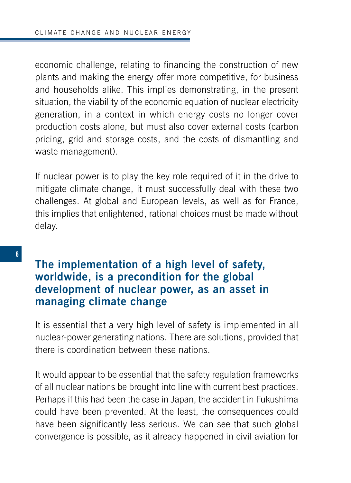economic challenge, relating to financing the construction of new plants and making the energy offer more competitive, for business and households alike. This implies demonstrating, in the present situation, the viability of the economic equation of nuclear electricity generation, in a context in which energy costs no longer cover production costs alone, but must also cover external costs (carbon pricing, grid and storage costs, and the costs of dismantling and waste management).

If nuclear power is to play the key role required of it in the drive to mitigate climate change, it must successfully deal with these two challenges. At global and European levels, as well as for France, this implies that enlightened, rational choices must be made without delay.

#### **The implementation of a high level of safety, worldwide, is a precondition for the global development of nuclear power, as an asset in managing climate change**

It is essential that a very high level of safety is implemented in all nuclear-power generating nations. There are solutions, provided that there is coordination between these nations.

It would appear to be essential that the safety regulation frameworks of all nuclear nations be brought into line with current best practices. Perhaps if this had been the case in Japan, the accident in Fukushima could have been prevented. At the least, the consequences could have been significantly less serious. We can see that such global convergence is possible, as it already happened in civil aviation for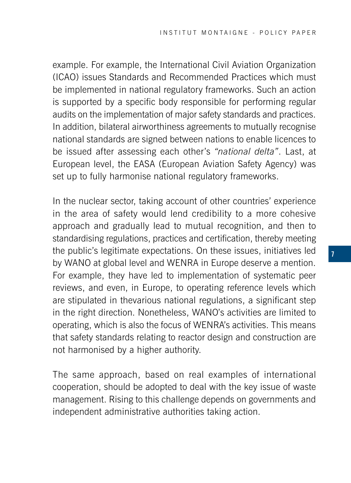example. For example, the International Civil Aviation Organization (ICAO) issues Standards and Recommended Practices which must be implemented in national regulatory frameworks. Such an action is supported by a specific body responsible for performing regular audits on the implementation of major safety standards and practices. In addition, bilateral airworthiness agreements to mutually recognise national standards are signed between nations to enable licences to be issued after assessing each other's *"national delta"*. Last, at European level, the EASA (European Aviation Safety Agency) was set up to fully harmonise national regulatory frameworks.

In the nuclear sector, taking account of other countries' experience in the area of safety would lend credibility to a more cohesive approach and gradually lead to mutual recognition, and then to standardising regulations, practices and certification, thereby meeting the public's legitimate expectations. On these issues, initiatives led by WANO at global level and WENRA in Europe deserve a mention. For example, they have led to implementation of systematic peer reviews, and even, in Europe, to operating reference levels which are stipulated in thevarious national regulations, a significant step in the right direction. Nonetheless, WANO's activities are limited to operating, which is also the focus of WENRA's activities. This means that safety standards relating to reactor design and construction are not harmonised by a higher authority.

The same approach, based on real examples of international cooperation, should be adopted to deal with the key issue of waste management. Rising to this challenge depends on governments and independent administrative authorities taking action.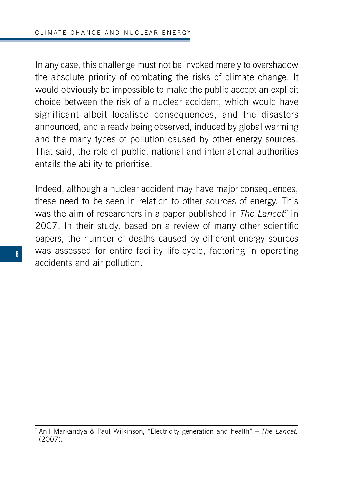In any case, this challenge must not be invoked merely to overshadow the absolute priority of combating the risks of climate change. It would obviously be impossible to make the public accept an explicit choice between the risk of a nuclear accident, which would have significant albeit localised consequences, and the disasters announced, and already being observed, induced by global warming and the many types of pollution caused by other energy sources. That said, the role of public, national and international authorities entails the ability to prioritise.

Indeed, although a nuclear accident may have major consequences, these need to be seen in relation to other sources of energy. This was the aim of researchers in a paper published in *The Lancet<sup>2</sup>* in 2007. In their study, based on a review of many other scientific papers, the number of deaths caused by different energy sources was assessed for entire facility life-cycle, factoring in operating accidents and air pollution.

<sup>2</sup> Anil Markandya & Paul Wilkinson, "Electricity generation and health" – *The Lancet,*  (2007).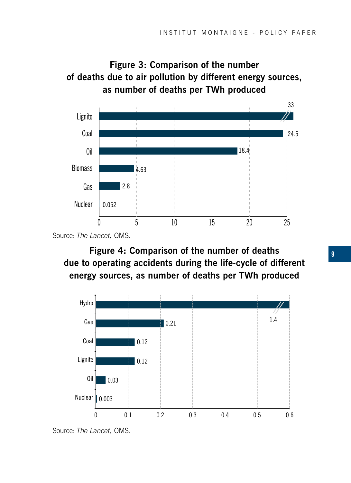



Source: *The Lancet,* OMS.

**Figure 4: Comparison of the number of deaths due to operating accidents during the life-cycle of different energy sources, as number of deaths per TWh produced**



Source: *The Lancet,* OMS.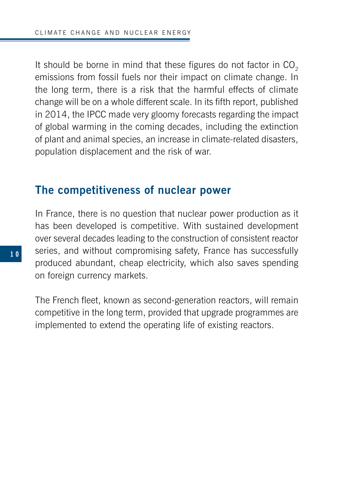It should be borne in mind that these figures do not factor in  $CO<sub>2</sub>$ emissions from fossil fuels nor their impact on climate change. In the long term, there is a risk that the harmful effects of climate change will be on a whole different scale. In its fifth report, published in 2014, the IPCC made very gloomy forecasts regarding the impact of global warming in the coming decades, including the extinction of plant and animal species, an increase in climate-related disasters, population displacement and the risk of war.

#### **The competitiveness of nuclear power**

In France, there is no question that nuclear power production as it has been developed is competitive. With sustained development over several decades leading to the construction of consistent reactor series, and without compromising safety, France has successfully produced abundant, cheap electricity, which also saves spending on foreign currency markets.

The French fleet, known as second-generation reactors, will remain competitive in the long term, provided that upgrade programmes are implemented to extend the operating life of existing reactors.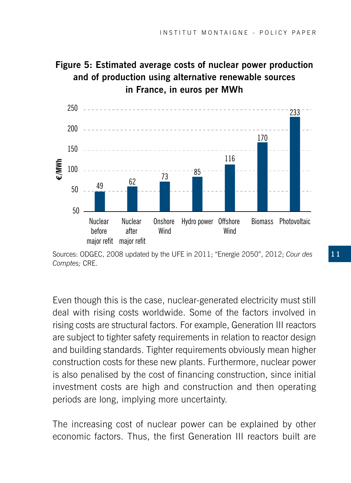#### **Figure 5: Estimated average costs of nuclear power production and of production using alternative renewable sources in France, in euros per MWh**



Sources: ODGEC, 2008 updated by the UFE in 2011; "Energie 2050", 2012; *Cour des Comptes;* CRE.

Even though this is the case, nuclear-generated electricity must still deal with rising costs worldwide. Some of the factors involved in rising costs are structural factors. For example, Generation III reactors are subject to tighter safety requirements in relation to reactor design and building standards. Tighter requirements obviously mean higher construction costs for these new plants. Furthermore, nuclear power is also penalised by the cost of financing construction, since initial investment costs are high and construction and then operating periods are long, implying more uncertainty.

The increasing cost of nuclear power can be explained by other economic factors. Thus, the first Generation III reactors built are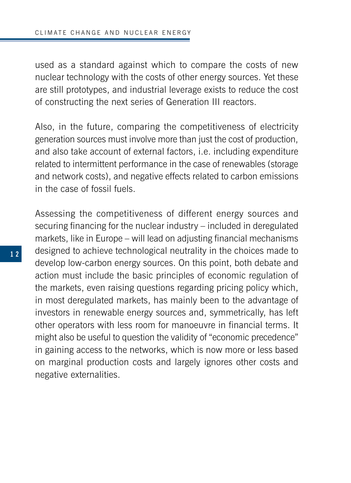used as a standard against which to compare the costs of new nuclear technology with the costs of other energy sources. Yet these are still prototypes, and industrial leverage exists to reduce the cost of constructing the next series of Generation III reactors.

Also, in the future, comparing the competitiveness of electricity generation sources must involve more than just the cost of production, and also take account of external factors, i.e. including expenditure related to intermittent performance in the case of renewables (storage and network costs), and negative effects related to carbon emissions in the case of fossil fuels.

Assessing the competitiveness of different energy sources and securing financing for the nuclear industry – included in deregulated markets, like in Europe – will lead on adjusting financial mechanisms designed to achieve technological neutrality in the choices made to develop low-carbon energy sources. On this point, both debate and action must include the basic principles of economic regulation of the markets, even raising questions regarding pricing policy which, in most deregulated markets, has mainly been to the advantage of investors in renewable energy sources and, symmetrically, has left other operators with less room for manoeuvre in financial terms. It might also be useful to question the validity of "economic precedence" in gaining access to the networks, which is now more or less based on marginal production costs and largely ignores other costs and negative externalities.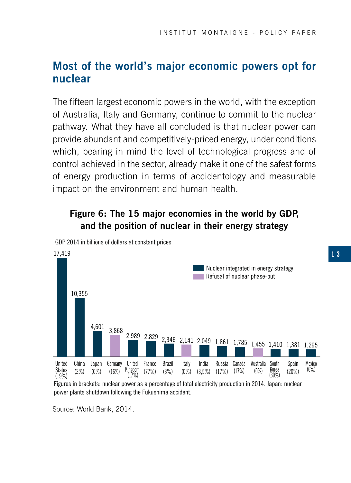#### **Most of the world's major economic powers opt for nuclear**

The fifteen largest economic powers in the world, with the exception of Australia, Italy and Germany, continue to commit to the nuclear pathway. What they have all concluded is that nuclear power can provide abundant and competitively-priced energy, under conditions which, bearing in mind the level of technological progress and of control achieved in the sector, already make it one of the safest forms of energy production in terms of accidentology and measurable impact on the environment and human health.

#### **Figure 6: The 15 major economies in the world by GDP, and the position of nuclear in their energy strategy**



GDP 2014 in billions of dollars at constant prices

Figures in brackets: nuclear power as a percentage of total electricity production in 2014. Japan: nuclear power plants shutdown following the Fukushima accident.

Source: World Bank, 2014.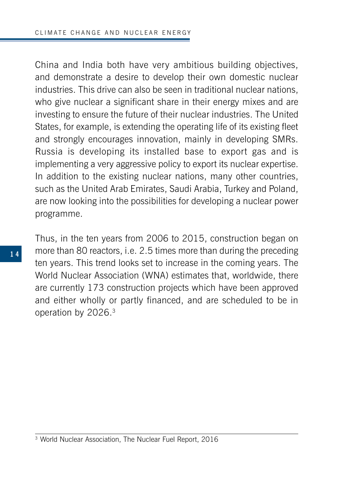China and India both have very ambitious building objectives, and demonstrate a desire to develop their own domestic nuclear industries. This drive can also be seen in traditional nuclear nations, who give nuclear a significant share in their energy mixes and are investing to ensure the future of their nuclear industries. The United States, for example, is extending the operating life of its existing fleet and strongly encourages innovation, mainly in developing SMRs. Russia is developing its installed base to export gas and is implementing a very aggressive policy to export its nuclear expertise. In addition to the existing nuclear nations, many other countries, such as the United Arab Emirates, Saudi Arabia, Turkey and Poland, are now looking into the possibilities for developing a nuclear power programme.

Thus, in the ten years from 2006 to 2015, construction began on more than 80 reactors, i.e. 2.5 times more than during the preceding ten years. This trend looks set to increase in the coming years. The World Nuclear Association (WNA) estimates that, worldwide, there are currently 173 construction projects which have been approved and either wholly or partly financed, and are scheduled to be in operation by 2026.3

<sup>3</sup> World Nuclear Association, The Nuclear Fuel Report, 2016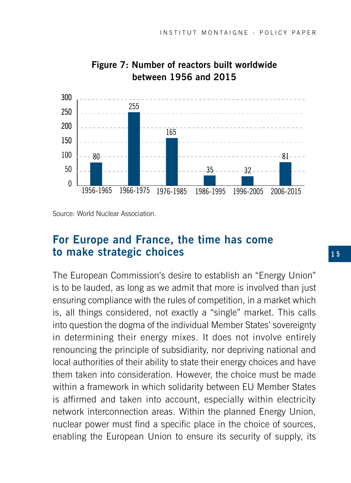

#### **Figure 7: Number of reactors built worldwide between 1956 and 2015**

Source: World Nuclear Association.

#### **For Europe and France, the time has come to make strategic choices**

The European Commission's desire to establish an "Energy Union" is to be lauded, as long as we admit that more is involved than just ensuring compliance with the rules of competition, in a market which is, all things considered, not exactly a "single" market. This calls into question the dogma of the individual Member States' sovereignty in determining their energy mixes. It does not involve entirely renouncing the principle of subsidiarity, nor depriving national and local authorities of their ability to state their energy choices and have them taken into consideration. However, the choice must be made within a framework in which solidarity between EU Member States is affirmed and taken into account, especially within electricity network interconnection areas. Within the planned Energy Union, nuclear power must find a specific place in the choice of sources, enabling the European Union to ensure its security of supply, its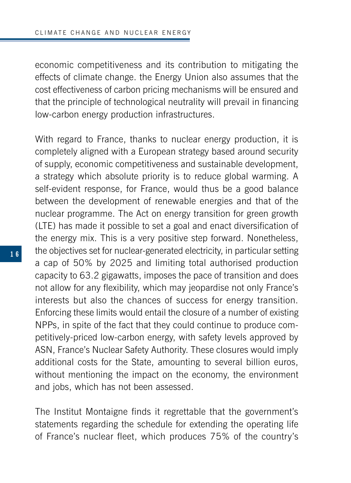economic competitiveness and its contribution to mitigating the effects of climate change. the Energy Union also assumes that the cost effectiveness of carbon pricing mechanisms will be ensured and that the principle of technological neutrality will prevail in financing low-carbon energy production infrastructures.

With regard to France, thanks to nuclear energy production, it is completely aligned with a European strategy based around security of supply, economic competitiveness and sustainable development, a strategy which absolute priority is to reduce global warming. A self-evident response, for France, would thus be a good balance between the development of renewable energies and that of the nuclear programme. The Act on energy transition for green growth (LTE) has made it possible to set a goal and enact diversification of the energy mix. This is a very positive step forward. Nonetheless, the objectives set for nuclear-generated electricity, in particular setting a cap of 50% by 2025 and limiting total authorised production capacity to 63.2 gigawatts, imposes the pace of transition and does not allow for any flexibility, which may jeopardise not only France's interests but also the chances of success for energy transition. Enforcing these limits would entail the closure of a number of existing NPPs, in spite of the fact that they could continue to produce competitively-priced low-carbon energy, with safety levels approved by ASN, France's Nuclear Safety Authority. These closures would imply additional costs for the State, amounting to several billion euros, without mentioning the impact on the economy, the environment and jobs, which has not been assessed.

The Institut Montaigne finds it regrettable that the government's statements regarding the schedule for extending the operating life of France's nuclear fleet, which produces 75% of the country's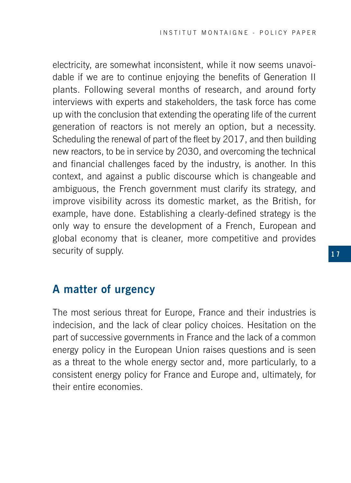electricity, are somewhat inconsistent, while it now seems unavoidable if we are to continue enjoying the benefits of Generation II plants. Following several months of research, and around forty interviews with experts and stakeholders, the task force has come up with the conclusion that extending the operating life of the current generation of reactors is not merely an option, but a necessity. Scheduling the renewal of part of the fleet by 2017, and then building new reactors, to be in service by 2030, and overcoming the technical and financial challenges faced by the industry, is another. In this context, and against a public discourse which is changeable and ambiguous, the French government must clarify its strategy, and improve visibility across its domestic market, as the British, for example, have done. Establishing a clearly-defined strategy is the only way to ensure the development of a French, European and global economy that is cleaner, more competitive and provides security of supply.

#### **A matter of urgency**

The most serious threat for Europe, France and their industries is indecision, and the lack of clear policy choices. Hesitation on the part of successive governments in France and the lack of a common energy policy in the European Union raises questions and is seen as a threat to the whole energy sector and, more particularly, to a consistent energy policy for France and Europe and, ultimately, for their entire economies.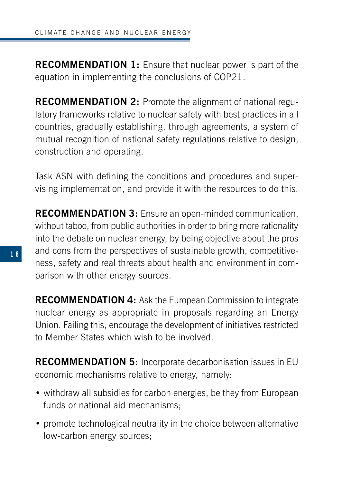**RECOMMENDATION 1:** Ensure that nuclear power is part of the equation in implementing the conclusions of COP21.

**RECOMMENDATION 2:** Promote the alignment of national regulatory frameworks relative to nuclear safety with best practices in all countries, gradually establishing, through agreements, a system of mutual recognition of national safety regulations relative to design, construction and operating.

Task ASN with defining the conditions and procedures and supervising implementation, and provide it with the resources to do this.

**RECOMMENDATION 3:** Ensure an open-minded communication, without taboo, from public authorities in order to bring more rationality into the debate on nuclear energy, by being objective about the pros and cons from the perspectives of sustainable growth, competitiveness, safety and real threats about health and environment in comparison with other energy sources.

**RECOMMENDATION 4:** Ask the European Commission to integrate nuclear energy as appropriate in proposals regarding an Energy Union. Failing this, encourage the development of initiatives restricted to Member States which wish to be involved.

**RECOMMENDATION 5:** Incorporate decarbonisation issues in EU economic mechanisms relative to energy, namely:

- withdraw all subsidies for carbon energies, be they from European funds or national aid mechanisms;
- promote technological neutrality in the choice between alternative low-carbon energy sources;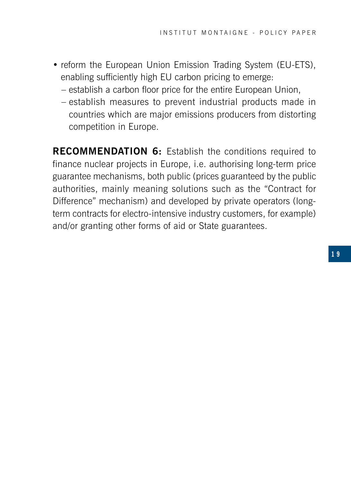- reform the European Union Emission Trading System (EU-ETS), enabling sufficiently high EU carbon pricing to emerge:
	- establish a carbon floor price for the entire European Union,
	- establish measures to prevent industrial products made in countries which are major emissions producers from distorting competition in Europe.

**RECOMMENDATION 6:** Establish the conditions required to finance nuclear projects in Europe, i.e. authorising long-term price guarantee mechanisms, both public (prices guaranteed by the public authorities, mainly meaning solutions such as the "Contract for Difference" mechanism) and developed by private operators (longterm contracts for electro-intensive industry customers, for example) and/or granting other forms of aid or State guarantees.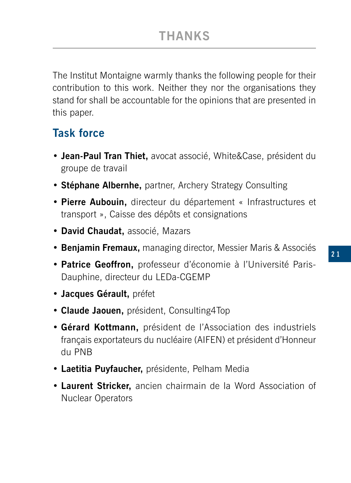The Institut Montaigne warmly thanks the following people for their contribution to this work. Neither they nor the organisations they stand for shall be accountable for the opinions that are presented in this paper.

#### **Task force**

- **Jean-Paul Tran Thiet,** avocat associé, White&Case, président du groupe de travail
- **Stéphane Albernhe,** partner, Archery Strategy Consulting
- **Pierre Aubouin,** directeur du département « Infrastructures et transport », Caisse des dépôts et consignations
- **David Chaudat,** associé, Mazars
- **Benjamin Fremaux,** managing director, Messier Maris & Associés
- **Patrice Geoffron,** professeur d'économie à l'Université Paris-Dauphine, directeur du LEDa-CGEMP
- **Jacques Gérault,** préfet
- **Claude Jaouen,** président, Consulting4Top
- **Gérard Kottmann,** président de l'Association des industriels français exportateurs du nucléaire (AIFEN) et président d'Honneur du PNB
- **Laetitia Puyfaucher,** présidente, Pelham Media
- **Laurent Stricker,** ancien chairmain de la Word Association of Nuclear Operators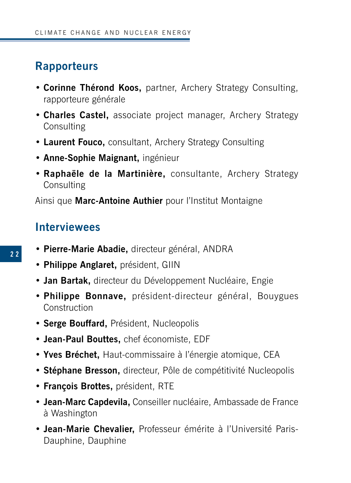#### **Rapporteurs**

- **Corinne Thérond Koos,** partner, Archery Strategy Consulting, rapporteure générale
- **Charles Castel,** associate project manager, Archery Strategy Consulting
- **Laurent Fouco,** consultant, Archery Strategy Consulting
- **Anne-Sophie Maignant,** ingénieur
- **Raphaële de la Martinière,** consultante, Archery Strategy **Consulting**

Ainsi que **Marc-Antoine Authier** pour l'Institut Montaigne

#### **Interviewees**

- **Pierre-Marie Abadie,** directeur général, ANDRA
- **Philippe Anglaret,** président, GIIN
- **Jan Bartak,** directeur du Développement Nucléaire, Engie
- **Philippe Bonnave,** président-directeur général, Bouygues **Construction**
- **Serge Bouffard,** Président, Nucleopolis
- **Jean-Paul Bouttes,** chef économiste, EDF
- **Yves Bréchet,** Haut-commissaire à l'énergie atomique, CEA
- **Stéphane Bresson,** directeur, Pôle de compétitivité Nucleopolis
- **François Brottes,** président, RTE
- **Jean-Marc Capdevila,** Conseiller nucléaire, Ambassade de France à Washington
- **Jean-Marie Chevalier,** Professeur émérite à l'Université Paris-Dauphine, Dauphine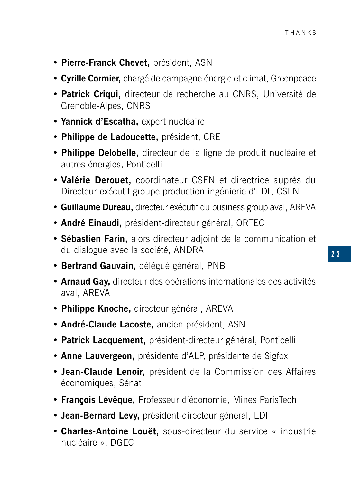- **Pierre-Franck Chevet,** président, ASN
- **Cyrille Cormier,** chargé de campagne énergie et climat, Greenpeace
- **Patrick Criqui,** directeur de recherche au CNRS, Université de Grenoble-Alpes, CNRS
- **Yannick d'Escatha,** expert nucléaire
- **Philippe de Ladoucette,** président, CRE
- **Philippe Delobelle,** directeur de la ligne de produit nucléaire et autres énergies, Ponticelli
- **Valérie Derouet,** coordinateur CSFN et directrice auprès du Directeur exécutif groupe production ingénierie d'EDF, CSFN
- **Guillaume Dureau,** directeur exécutif du business group aval, AREVA
- **André Einaudi,** président-directeur général, ORTEC
- **Sébastien Farin,** alors directeur adjoint de la communication et du dialogue avec la société, ANDRA
- **Bertrand Gauvain,** délégué général, PNB
- **Arnaud Gay,** directeur des opérations internationales des activités aval, AREVA
- **Philippe Knoche,** directeur général, AREVA
- **André-Claude Lacoste,** ancien président, ASN
- **Patrick Lacquement,** président-directeur général, Ponticelli
- **Anne Lauvergeon,** présidente d'ALP, présidente de Sigfox
- **Jean-Claude Lenoir,** président de la Commission des Affaires économiques, Sénat
- **François Lévêque,** Professeur d'économie, Mines ParisTech
- **Jean-Bernard Levy,** président-directeur général, EDF
- **Charles-Antoine Louët,** sous-directeur du service « industrie nucléaire », DGEC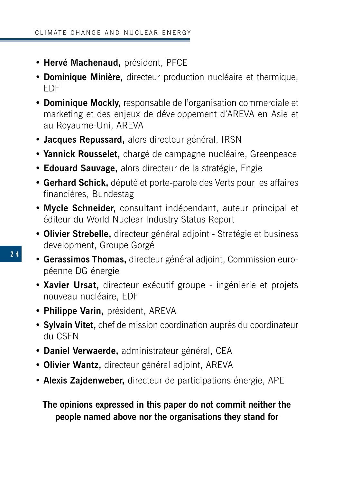- **Hervé Machenaud,** président, PFCE
- **Dominique Minière,** directeur production nucléaire et thermique, EDF
- **Dominique Mockly,** responsable de l'organisation commerciale et marketing et des enjeux de développement d'AREVA en Asie et au Royaume-Uni, AREVA
- **Jacques Repussard,** alors directeur général, IRSN
- **Yannick Rousselet,** chargé de campagne nucléaire, Greenpeace
- **Edouard Sauvage,** alors directeur de la stratégie, Engie
- **Gerhard Schick,** député et porte-parole des Verts pour les affaires financières, Bundestag
- **Mycle Schneider,** consultant indépendant, auteur principal et éditeur du World Nuclear Industry Status Report
- **Olivier Strebelle,** directeur général adjoint Stratégie et business development, Groupe Gorgé
- **Gerassimos Thomas,** directeur général adjoint, Commission européenne DG énergie
	- **Xavier Ursat,** directeur exécutif groupe ingénierie et projets nouveau nucléaire, EDF
	- **Philippe Varin,** président, AREVA
	- **Sylvain Vitet,** chef de mission coordination auprès du coordinateur du CSFN
	- **Daniel Verwaerde,** administrateur général, CEA
	- **Olivier Wantz,** directeur général adjoint, AREVA
	- **Alexis Zajdenweber,** directeur de participations énergie, APE

**The opinions expressed in this paper do not commit neither the people named above nor the organisations they stand for**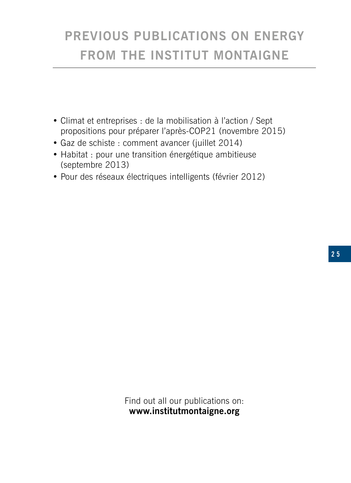## **PREVIOUS PUBLICATIONS ON ENERGY FROM THE INSTITUT MONTAIGNE**

- Climat et entreprises : de la mobilisation à l'action / Sept propositions pour préparer l'après-COP21 (novembre 2015)
- Gaz de schiste : comment avancer (juillet 2014)
- Habitat : pour une transition énergétique ambitieuse (septembre 2013)
- Pour des réseaux électriques intelligents (février 2012)

Find out all our publications on: **www.institutmontaigne.org**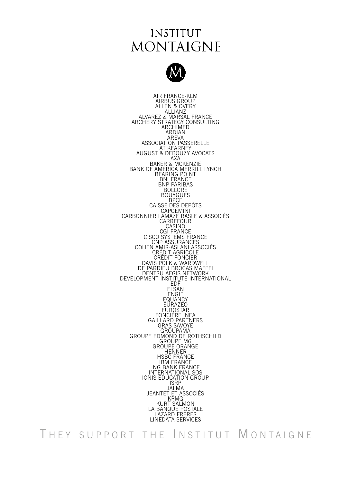#### **INSTITUT MONTAIGNE**



AIR FRANCE-KLM AIRBUS GROUP ALLEN & OVERY<br>ALLIANZ<br>ALLIANZ<br>ACHIMEGY CONSULTING<br>ARCHIMED<br>ARCHIMED ARDIAN ASSOCIATION PASSERELLE<br>ASSOCIATION PASSERELLE<br>AT KEARNEY<br>AUGUST & DEBOUZY AVOCATS<br>BANK OF AMERICA MERRICA MERRICA MERRICA<br>BANK OF AMERICA MERRICA MERRICA MERRICA BNI FRANCE BOLLORÉ<br>BOUYGUES<br>BPCF CAISSE DES DEPOTS<br>CARBONNIER LAMAZE RASLE & ASSOCIÉS<br>CARBONNIER LAMAZE RASLE & ASSOCIÉS<br>CASINO CASINO CASINO CASINO CASINO CRÉDIT<br>CISCO SYSTEMS FRANCE<br>CRÉDIT AGRICOLE<br>CRÉDIT AGRICOLE<br>DAVIS POLK & WARDWELL<br>DAVIS POLK & WARD DE PARDIEU BROCAS MAFFEI DEVELOPMENT INSTITUTE INTERNATIONAL ELSAN ENGIE EQUANCY EURAZEO EUROSTAR<br>FONCIÈRE INEA<br>GAILLARD PARTNERS<br>GRAS SAVOYE<br>CROUPAMA GROUPE EDMOND DE ROTHSCHILD<br>GROUPE M6<br>GROUPE M6<br>GROUPE ORANGE<br>HENNER<br>HSBC FRANCE IBM FRANCE<br>ING BANK FRANCE<br>INTERNATIONAL SOS IONIS EDUCATION GROUP<br>ISRP<br>IAI MA JALMA JEANTET ET ASSOCIÉS KPMG KURT SALMON LA BANQUE POSTALE LAZARD FRERES LINEDATA SERVICES

THEY SUPPORT THE INSTITUT MONTAIGNE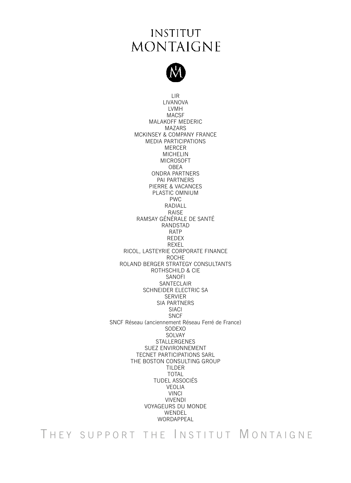### **INSTITUT MONTAIGNE**



LIR LIVANOVA LVMH MACSF MALAKOFF MEDERIC MAZARS MCKINSEY & COMPANY FRANCE MEDIA PARTICIPATIONS MERCER MICHELIN MICROSOFT OBEA ONDRA PARTNERS PAI PARTNERS PIERRE & VACANCES PLASTIC OMNIUM PWC RADIALL RAISE RAMSAY GÉNÉRALE DE SANTÉ RANDSTAD RATP REDEX REXEL RICOL, LASTEYRIE CORPORATE FINANCE ROCHE ROLAND BERGER STRATEGY CONSULTANTS ROTHSCHILD & CIE SANOFI SANTECLAIR SCHNEIDER ELECTRIC SA **SERVIER** SIA PARTNERS SIACI **SNCF** SNCF Réseau (anciennement Réseau Ferré de France) **SODEXO** SOLVAY STALLERGENES SUEZ ENVIRONNEMENT TECNET PARTICIPATIONS SARL THE BOSTON CONSULTING GROUP TILDER TOTAL TUDEL ASSOCIÉS VEOLIA VINCI VIVENDI VOYAGEURS DU MONDE WENDEL WORDAPPEAL

THEY SUPPORT THE INSTITUT MONTAIGNE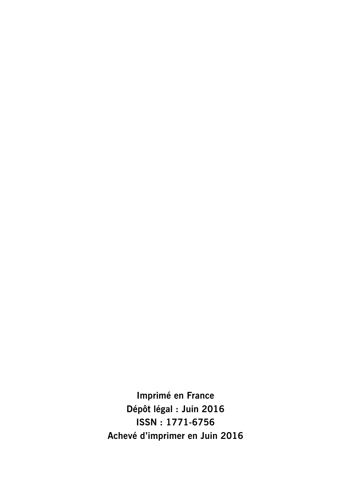**Imprimé en France Dépôt légal : Juin 2016 ISSN : 1771-6756 Achevé d'imprimer en Juin 2016**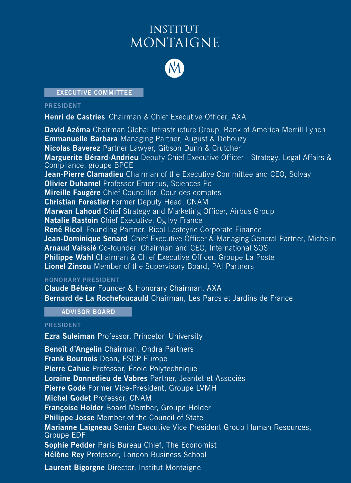### **INSTITUT MONTAIGNE**



#### **EXECUTIVE COMMITTEE**

#### **PRESIDENT**

**Henri de Castries** Chairman & Chief Executive Officer, AXA

**David Azéma** Chairman Global Infrastructure Group, Bank of America Merrill Lynch **Emmanuelle Barbara** Managing Partner, August & Debouzy **Nicolas Baverez** Partner Lawyer, Gibson Dunn & Crutcher **Marguerite Bérard-Andrieu** Deputy Chief Executive Officer - Strategy, Legal Affairs & Compliance, groupe BPCE **Jean-Pierre Clamadieu** Chairman of the Executive Committee and CEO, Solvay **Olivier Duhamel** Professor Emeritus, Sciences Po **Mireille Faugère** Chief Councillor, Cour des comptes **Christian Forestier** Former Deputy Head, CNAM **Marwan Lahoud** Chief Strategy and Marketing Officer, Airbus Group **Natalie Rastoin** Chief Executive, Ogilvy France **René Ricol** Founding Partner, Ricol Lasteyrie Corporate Finance **Jean-Dominique Senard** Chief Executive Officer & Managing General Partner, Michelin **Arnaud Vaissié** Co-founder, Chairman and CEO, International SOS **Philippe Wahl** Chairman & Chief Executive Officer, Groupe La Poste **Lionel Zinsou** Member of the Supervisory Board, PAI Partners

#### **HONORARY PRESIDENT**

**Claude Bébéar** Founder & Honorary Chairman, AXA **Bernard de La Rochefoucauld** Chairman, Les Parcs et Jardins de France

**ADVISOR BOARD**

#### **PRESIDENT**

**Ezra Suleiman** Professor, Princeton University **Benoît d'Angelin** Chairman, Ondra Partners **Frank Bournois** Dean, ESCP Europe **Pierre Cahuc** Professor, École Polytechnique **Loraine Donnedieu de Vabres** Partner, Jeantet et Associés **Pierre Godé** Former Vice-President, Groupe LVMH **Michel Godet** Professor, CNAM **Françoise Holder** Board Member, Groupe Holder **Philippe Josse** Member of the Council of State **Marianne Laigneau** Senior Executive Vice President Group Human Resources, Groupe EDF **Sophie Pedder** Paris Bureau Chief, The Economist **Hélène Rey** Professor, London Business School **Laurent Bigorgne** Director, Institut Montaigne